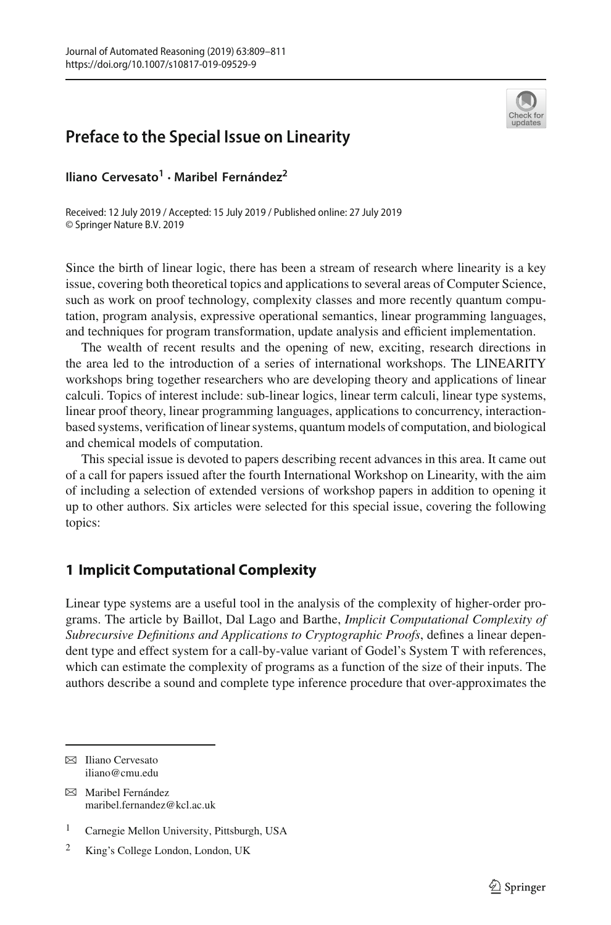

# **Preface to the Special Issue on Linearity**

**Iliano Cervesato<sup>1</sup> · Maribel Fernández2**

Received: 12 July 2019 / Accepted: 15 July 2019 / Published online: 27 July 2019 © Springer Nature B.V. 2019

Since the birth of linear logic, there has been a stream of research where linearity is a key issue, covering both theoretical topics and applications to several areas of Computer Science, such as work on proof technology, complexity classes and more recently quantum computation, program analysis, expressive operational semantics, linear programming languages, and techniques for program transformation, update analysis and efficient implementation.

The wealth of recent results and the opening of new, exciting, research directions in the area led to the introduction of a series of international workshops. The LINEARITY workshops bring together researchers who are developing theory and applications of linear calculi. Topics of interest include: sub-linear logics, linear term calculi, linear type systems, linear proof theory, linear programming languages, applications to concurrency, interactionbased systems, verification of linear systems, quantum models of computation, and biological and chemical models of computation.

This special issue is devoted to papers describing recent advances in this area. It came out of a call for papers issued after the fourth International Workshop on Linearity, with the aim of including a selection of extended versions of workshop papers in addition to opening it up to other authors. Six articles were selected for this special issue, covering the following topics:

# **1 Implicit Computational Complexity**

Linear type systems are a useful tool in the analysis of the complexity of higher-order programs. The article by Baillot, Dal Lago and Barthe, *Implicit Computational Complexity of Subrecursive Definitions and Applications to Cryptographic Proofs*, defines a linear dependent type and effect system for a call-by-value variant of Godel's System T with references, which can estimate the complexity of programs as a function of the size of their inputs. The authors describe a sound and complete type inference procedure that over-approximates the

 $\boxtimes$  Iliano Cervesato iliano@cmu.edu

B Maribel Fernández maribel.fernandez@kcl.ac.uk

<sup>1</sup> Carnegie Mellon University, Pittsburgh, USA

<sup>2</sup> King's College London, London, UK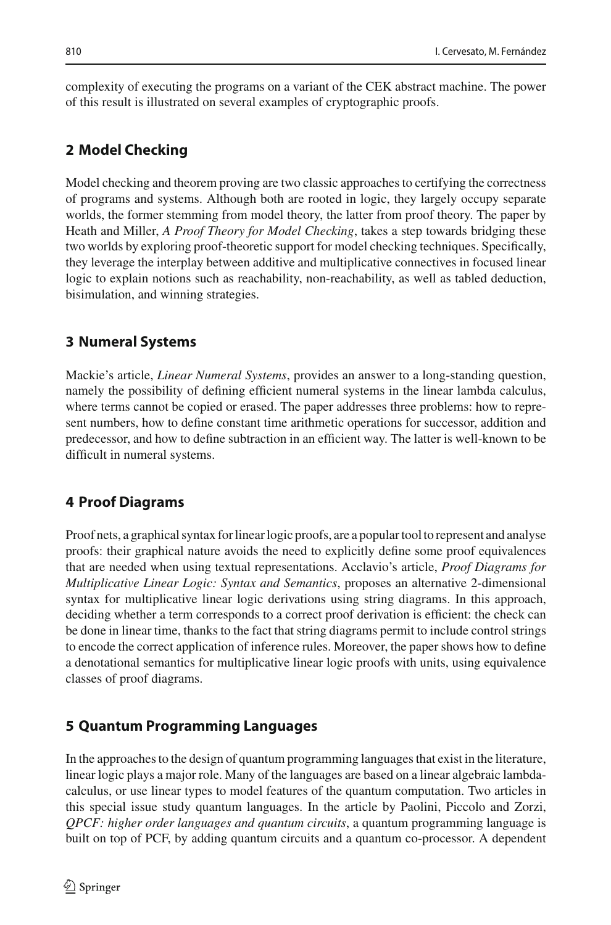complexity of executing the programs on a variant of the CEK abstract machine. The power of this result is illustrated on several examples of cryptographic proofs.

### **2 Model Checking**

Model checking and theorem proving are two classic approaches to certifying the correctness of programs and systems. Although both are rooted in logic, they largely occupy separate worlds, the former stemming from model theory, the latter from proof theory. The paper by Heath and Miller, *A Proof Theory for Model Checking*, takes a step towards bridging these two worlds by exploring proof-theoretic support for model checking techniques. Specifically, they leverage the interplay between additive and multiplicative connectives in focused linear logic to explain notions such as reachability, non-reachability, as well as tabled deduction, bisimulation, and winning strategies.

#### **3 Numeral Systems**

Mackie's article, *Linear Numeral Systems*, provides an answer to a long-standing question, namely the possibility of defining efficient numeral systems in the linear lambda calculus, where terms cannot be copied or erased. The paper addresses three problems: how to represent numbers, how to define constant time arithmetic operations for successor, addition and predecessor, and how to define subtraction in an efficient way. The latter is well-known to be difficult in numeral systems.

## **4 Proof Diagrams**

Proof nets, a graphical syntax for linear logic proofs, are a popular tool to represent and analyse proofs: their graphical nature avoids the need to explicitly define some proof equivalences that are needed when using textual representations. Acclavio's article, *Proof Diagrams for Multiplicative Linear Logic: Syntax and Semantics*, proposes an alternative 2-dimensional syntax for multiplicative linear logic derivations using string diagrams. In this approach, deciding whether a term corresponds to a correct proof derivation is efficient: the check can be done in linear time, thanks to the fact that string diagrams permit to include control strings to encode the correct application of inference rules. Moreover, the paper shows how to define a denotational semantics for multiplicative linear logic proofs with units, using equivalence classes of proof diagrams.

#### **5 Quantum Programming Languages**

In the approaches to the design of quantum programming languages that exist in the literature, linear logic plays a major role. Many of the languages are based on a linear algebraic lambdacalculus, or use linear types to model features of the quantum computation. Two articles in this special issue study quantum languages. In the article by Paolini, Piccolo and Zorzi, *QPCF: higher order languages and quantum circuits*, a quantum programming language is built on top of PCF, by adding quantum circuits and a quantum co-processor. A dependent